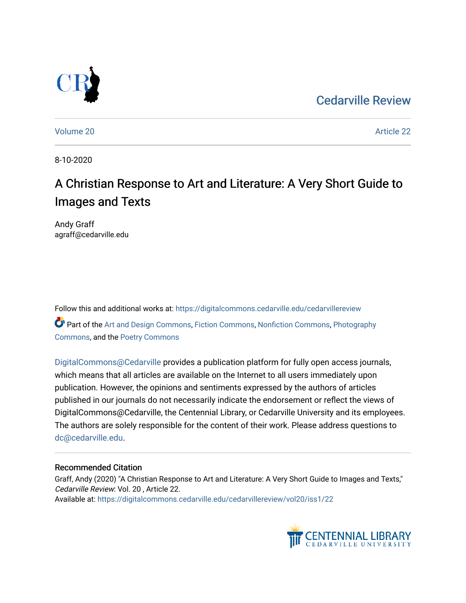## [Cedarville Review](https://digitalcommons.cedarville.edu/cedarvillereview)



[Volume 20](https://digitalcommons.cedarville.edu/cedarvillereview/vol20) [Article 22](https://digitalcommons.cedarville.edu/cedarvillereview/vol20/iss1/22) 

8-10-2020

# A Christian Response to Art and Literature: A Very Short Guide to Images and Texts

Andy Graff agraff@cedarville.edu

Follow this and additional works at: [https://digitalcommons.cedarville.edu/cedarvillereview](https://digitalcommons.cedarville.edu/cedarvillereview?utm_source=digitalcommons.cedarville.edu%2Fcedarvillereview%2Fvol20%2Fiss1%2F22&utm_medium=PDF&utm_campaign=PDFCoverPages)  Part of the [Art and Design Commons](http://network.bepress.com/hgg/discipline/1049?utm_source=digitalcommons.cedarville.edu%2Fcedarvillereview%2Fvol20%2Fiss1%2F22&utm_medium=PDF&utm_campaign=PDFCoverPages), [Fiction Commons](http://network.bepress.com/hgg/discipline/1151?utm_source=digitalcommons.cedarville.edu%2Fcedarvillereview%2Fvol20%2Fiss1%2F22&utm_medium=PDF&utm_campaign=PDFCoverPages), [Nonfiction Commons,](http://network.bepress.com/hgg/discipline/1152?utm_source=digitalcommons.cedarville.edu%2Fcedarvillereview%2Fvol20%2Fiss1%2F22&utm_medium=PDF&utm_campaign=PDFCoverPages) [Photography](http://network.bepress.com/hgg/discipline/1142?utm_source=digitalcommons.cedarville.edu%2Fcedarvillereview%2Fvol20%2Fiss1%2F22&utm_medium=PDF&utm_campaign=PDFCoverPages) [Commons](http://network.bepress.com/hgg/discipline/1142?utm_source=digitalcommons.cedarville.edu%2Fcedarvillereview%2Fvol20%2Fiss1%2F22&utm_medium=PDF&utm_campaign=PDFCoverPages), and the [Poetry Commons](http://network.bepress.com/hgg/discipline/1153?utm_source=digitalcommons.cedarville.edu%2Fcedarvillereview%2Fvol20%2Fiss1%2F22&utm_medium=PDF&utm_campaign=PDFCoverPages)

[DigitalCommons@Cedarville](http://digitalcommons.cedarville.edu/) provides a publication platform for fully open access journals, which means that all articles are available on the Internet to all users immediately upon publication. However, the opinions and sentiments expressed by the authors of articles published in our journals do not necessarily indicate the endorsement or reflect the views of DigitalCommons@Cedarville, the Centennial Library, or Cedarville University and its employees. The authors are solely responsible for the content of their work. Please address questions to [dc@cedarville.edu.](mailto:dc@cedarville.edu)

### Recommended Citation

Graff, Andy (2020) "A Christian Response to Art and Literature: A Very Short Guide to Images and Texts," Cedarville Review: Vol. 20 , Article 22. Available at: [https://digitalcommons.cedarville.edu/cedarvillereview/vol20/iss1/22](https://digitalcommons.cedarville.edu/cedarvillereview/vol20/iss1/22?utm_source=digitalcommons.cedarville.edu%2Fcedarvillereview%2Fvol20%2Fiss1%2F22&utm_medium=PDF&utm_campaign=PDFCoverPages)

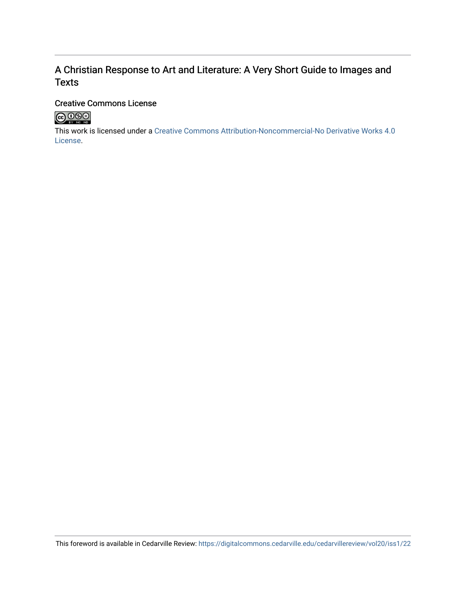## A Christian Response to Art and Literature: A Very Short Guide to Images and **Texts**

### Creative Commons License



This work is licensed under a [Creative Commons Attribution-Noncommercial-No Derivative Works 4.0](http://creativecommons.org/licenses/by-nc-nd/4.0/) [License](http://creativecommons.org/licenses/by-nc-nd/4.0/).

This foreword is available in Cedarville Review: <https://digitalcommons.cedarville.edu/cedarvillereview/vol20/iss1/22>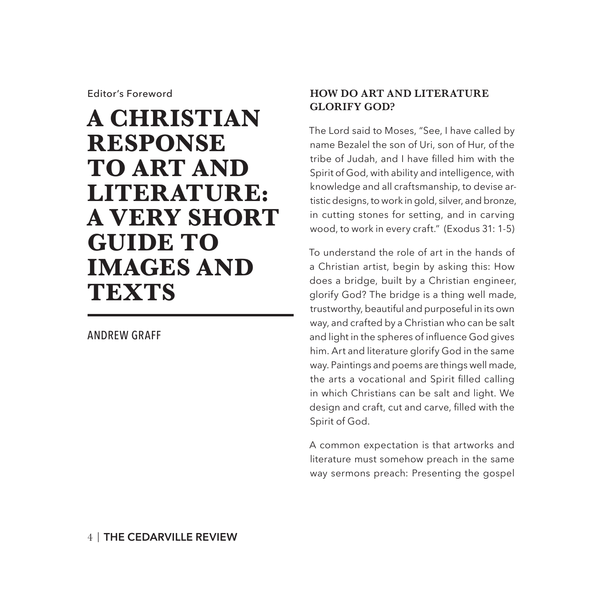Editor's Foreword

# **A CHRISTIAN RESPONSE TO ART AND LITERATURE: A VERY SHORT GUIDE TO IMAGES AND TEXTS**

#### ANDREW GRAFF

#### **HOW DO ART AND LITERATURE GLORIFY GOD?**

The Lord said to Moses, "See, I have called by name Bezalel the son of Uri, son of Hur, of the tribe of Judah, and I have filled him with the Spirit of God, with ability and intelligence, with knowledge and all craftsmanship, to devise artistic designs, to work in gold, silver, and bronze, in cutting stones for setting, and in carving wood, to work in every craft." (Exodus 31: 1-5)

To understand the role of art in the hands of a Christian artist, begin by asking this: How does a bridge, built by a Christian engineer, glorify God? The bridge is a thing well made, trustworthy, beautiful and purposeful in its own way, and crafted by a Christian who can be salt and light in the spheres of influence God gives him. Art and literature glorify God in the same way. Paintings and poems are things well made, the arts a vocational and Spirit filled calling in which Christians can be salt and light. We design and craft, cut and carve, filled with the Spirit of God.

A common expectation is that artworks and literature must somehow preach in the same way sermons preach: Presenting the gospel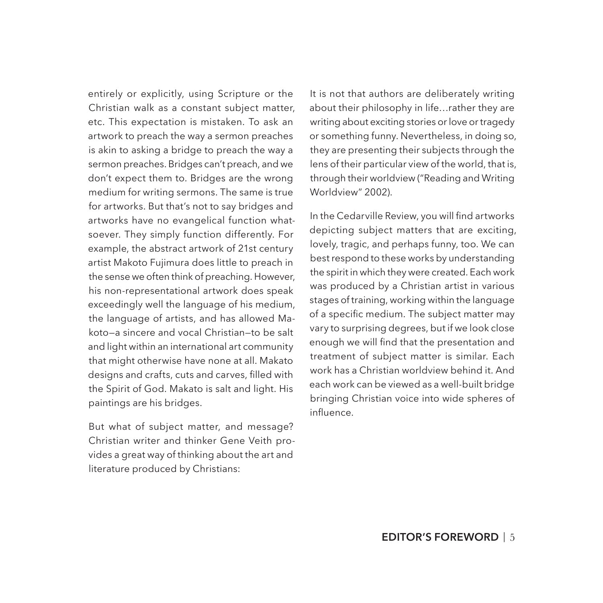entirely or explicitly, using Scripture or the Christian walk as a constant subject matter, etc. This expectation is mistaken. To ask an artwork to preach the way a sermon preaches is akin to asking a bridge to preach the way a sermon preaches. Bridges can't preach, and we don't expect them to. Bridges are the wrong medium for writing sermons. The same is true for artworks. But that's not to say bridges and artworks have no evangelical function whatsoever. They simply function differently. For example, the abstract artwork of 21st century artist Makoto Fujimura does little to preach in the sense we often think of preaching. However, his non-representational artwork does speak exceedingly well the language of his medium, the language of artists, and has allowed Makoto—a sincere and vocal Christian—to be salt and light within an international art community that might otherwise have none at all. Makato designs and crafts, cuts and carves, filled with the Spirit of God. Makato is salt and light. His paintings are his bridges.

But what of subject matter, and message? Christian writer and thinker Gene Veith provides a great way of thinking about the art and literature produced by Christians:

It is not that authors are deliberately writing about their philosophy in life…rather they are writing about exciting stories or love or tragedy or something funny. Nevertheless, in doing so, they are presenting their subjects through the lens of their particular view of the world, that is, through their worldview ("Reading and Writing Worldview" 2002).

In the Cedarville Review, you will find artworks depicting subject matters that are exciting, lovely, tragic, and perhaps funny, too. We can best respond to these works by understanding the spirit in which they were created. Each work was produced by a Christian artist in various stages of training, working within the language of a specific medium. The subject matter may vary to surprising degrees, but if we look close enough we will find that the presentation and treatment of subject matter is similar. Each work has a Christian worldview behind it. And each work can be viewed as a well-built bridge bringing Christian voice into wide spheres of influence.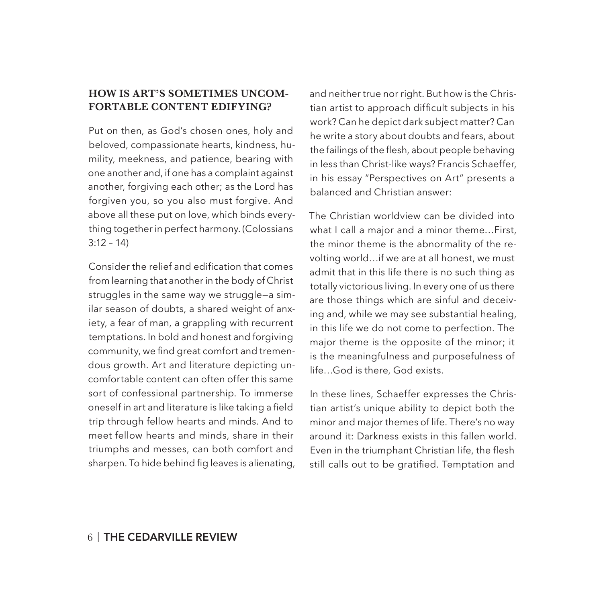#### **HOW IS ART'S SOMETIMES UNCOM-FORTABLE CONTENT EDIFYING?**

Put on then, as God's chosen ones, holy and beloved, compassionate hearts, kindness, humility, meekness, and patience, bearing with one another and, if one has a complaint against another, forgiving each other; as the Lord has forgiven you, so you also must forgive. And above all these put on love, which binds everything together in perfect harmony. (Colossians  $3:12 - 14$ 

Consider the relief and edification that comes from learning that another in the body of Christ struggles in the same way we struggle—a similar season of doubts, a shared weight of anxiety, a fear of man, a grappling with recurrent temptations. In bold and honest and forgiving community, we find great comfort and tremendous growth. Art and literature depicting uncomfortable content can often offer this same sort of confessional partnership. To immerse oneself in art and literature is like taking a field trip through fellow hearts and minds. And to meet fellow hearts and minds, share in their triumphs and messes, can both comfort and sharpen. To hide behind fig leaves is alienating, and neither true nor right. But how is the Christian artist to approach difficult subjects in his work? Can he depict dark subject matter? Can he write a story about doubts and fears, about the failings of the flesh, about people behaving in less than Christ-like ways? Francis Schaeffer, in his essay "Perspectives on Art" presents a balanced and Christian answer:

The Christian worldview can be divided into what I call a major and a minor theme…First, the minor theme is the abnormality of the revolting world…if we are at all honest, we must admit that in this life there is no such thing as totally victorious living. In every one of us there are those things which are sinful and deceiving and, while we may see substantial healing, in this life we do not come to perfection. The major theme is the opposite of the minor; it is the meaningfulness and purposefulness of life…God is there, God exists.

In these lines, Schaeffer expresses the Christian artist's unique ability to depict both the minor and major themes of life. There's no way around it: Darkness exists in this fallen world. Even in the triumphant Christian life, the flesh still calls out to be gratified. Temptation and